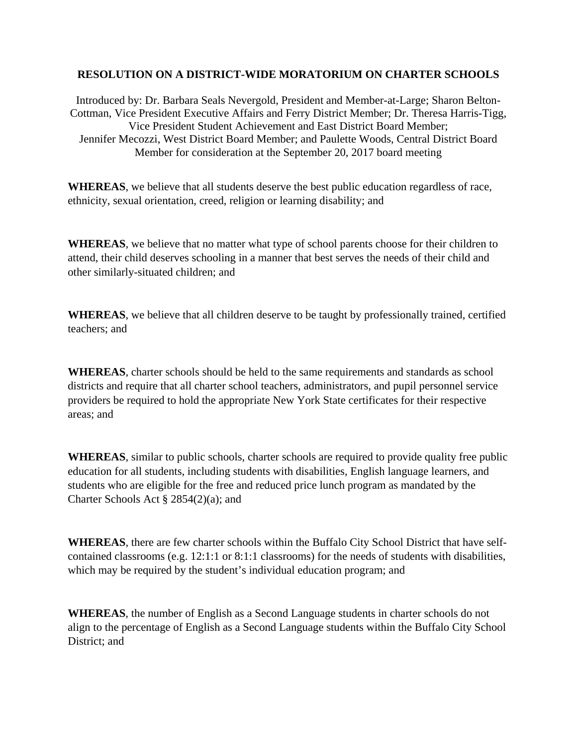## **RESOLUTION ON A DISTRICT-WIDE MORATORIUM ON CHARTER SCHOOLS**

Introduced by: Dr. Barbara Seals Nevergold, President and Member-at-Large; Sharon Belton-Cottman, Vice President Executive Affairs and Ferry District Member; Dr. Theresa Harris-Tigg, Vice President Student Achievement and East District Board Member; Jennifer Mecozzi, West District Board Member; and Paulette Woods, Central District Board Member for consideration at the September 20, 2017 board meeting

**WHEREAS**, we believe that all students deserve the best public education regardless of race, ethnicity, sexual orientation, creed, religion or learning disability; and

**WHEREAS**, we believe that no matter what type of school parents choose for their children to attend, their child deserves schooling in a manner that best serves the needs of their child and other similarly-situated children; and

**WHEREAS**, we believe that all children deserve to be taught by professionally trained, certified teachers; and

**WHEREAS**, charter schools should be held to the same requirements and standards as school districts and require that all charter school teachers, administrators, and pupil personnel service providers be required to hold the appropriate New York State certificates for their respective areas; and

**WHEREAS**, similar to public schools, charter schools are required to provide quality free public education for all students, including students with disabilities, English language learners, and students who are eligible for the free and reduced price lunch program as mandated by the Charter Schools Act § 2854(2)(a); and

**WHEREAS**, there are few charter schools within the Buffalo City School District that have selfcontained classrooms (e.g. 12:1:1 or 8:1:1 classrooms) for the needs of students with disabilities, which may be required by the student's individual education program; and

**WHEREAS**, the number of English as a Second Language students in charter schools do not align to the percentage of English as a Second Language students within the Buffalo City School District: and